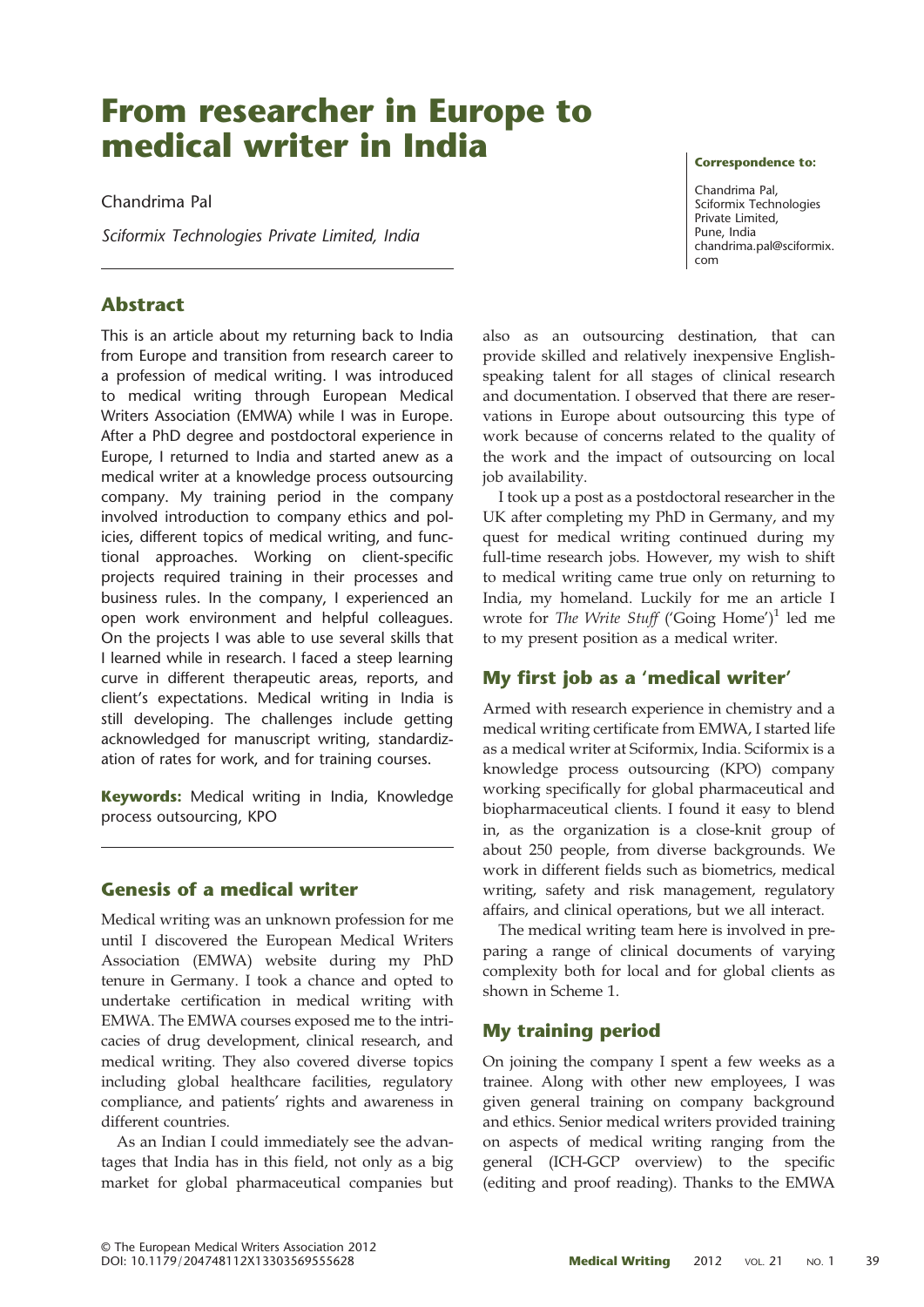# From researcher in Europe to medical writer in India

Chandrima Pal

Sciformix Technologies Private Limited, India

# Abstract

This is an article about my returning back to India from Europe and transition from research career to a profession of medical writing. I was introduced to medical writing through European Medical Writers Association (EMWA) while I was in Europe. After a PhD degree and postdoctoral experience in Europe, I returned to India and started anew as a medical writer at a knowledge process outsourcing company. My training period in the company involved introduction to company ethics and policies, different topics of medical writing, and functional approaches. Working on client-specific projects required training in their processes and business rules. In the company, I experienced an open work environment and helpful colleagues. On the projects I was able to use several skills that I learned while in research. I faced a steep learning curve in different therapeutic areas, reports, and client's expectations. Medical writing in India is still developing. The challenges include getting acknowledged for manuscript writing, standardization of rates for work, and for training courses.

**Keywords:** Medical writing in India, Knowledge process outsourcing, KPO

## Genesis of a medical writer

Medical writing was an unknown profession for me until I discovered the European Medical Writers Association (EMWA) website during my PhD tenure in Germany. I took a chance and opted to undertake certification in medical writing with EMWA. The EMWA courses exposed me to the intricacies of drug development, clinical research, and medical writing. They also covered diverse topics including global healthcare facilities, regulatory compliance, and patients' rights and awareness in different countries.

As an Indian I could immediately see the advantages that India has in this field, not only as a big market for global pharmaceutical companies but

#### Correspondence to:

Chandrima Pal, Sciformix Technologies Private Limited, Pune, India [chandrima.pal@sciformix.](mailto:<alt-title alt-title-type=) [com](mailto:<alt-title alt-title-type=)

also as an outsourcing destination, that can provide skilled and relatively inexpensive Englishspeaking talent for all stages of clinical research and documentation. I observed that there are reservations in Europe about outsourcing this type of work because of concerns related to the quality of the work and the impact of outsourcing on local job availability.

I took up a post as a postdoctoral researcher in the UK after completing my PhD in Germany, and my quest for medical writing continued during my full-time research jobs. However, my wish to shift to medical writing came true only on returning to India, my homeland. Luckily for me an article I wrote for The Write Stuff ('Going Home')<sup>[1](#page-2-0)</sup> led me to my present position as a medical writer.

## My first job as a 'medical writer'

Armed with research experience in chemistry and a medical writing certificate from EMWA, I started life as a medical writer at Sciformix, India. Sciformix is a knowledge process outsourcing (KPO) company working specifically for global pharmaceutical and biopharmaceutical clients. I found it easy to blend in, as the organization is a close-knit group of about 250 people, from diverse backgrounds. We work in different fields such as biometrics, medical writing, safety and risk management, regulatory affairs, and clinical operations, but we all interact.

The medical writing team here is involved in preparing a range of clinical documents of varying complexity both for local and for global clients as shown in Scheme 1.

## My training period

On joining the company I spent a few weeks as a trainee. Along with other new employees, I was given general training on company background and ethics. Senior medical writers provided training on aspects of medical writing ranging from the general (ICH-GCP overview) to the specific (editing and proof reading). Thanks to the EMWA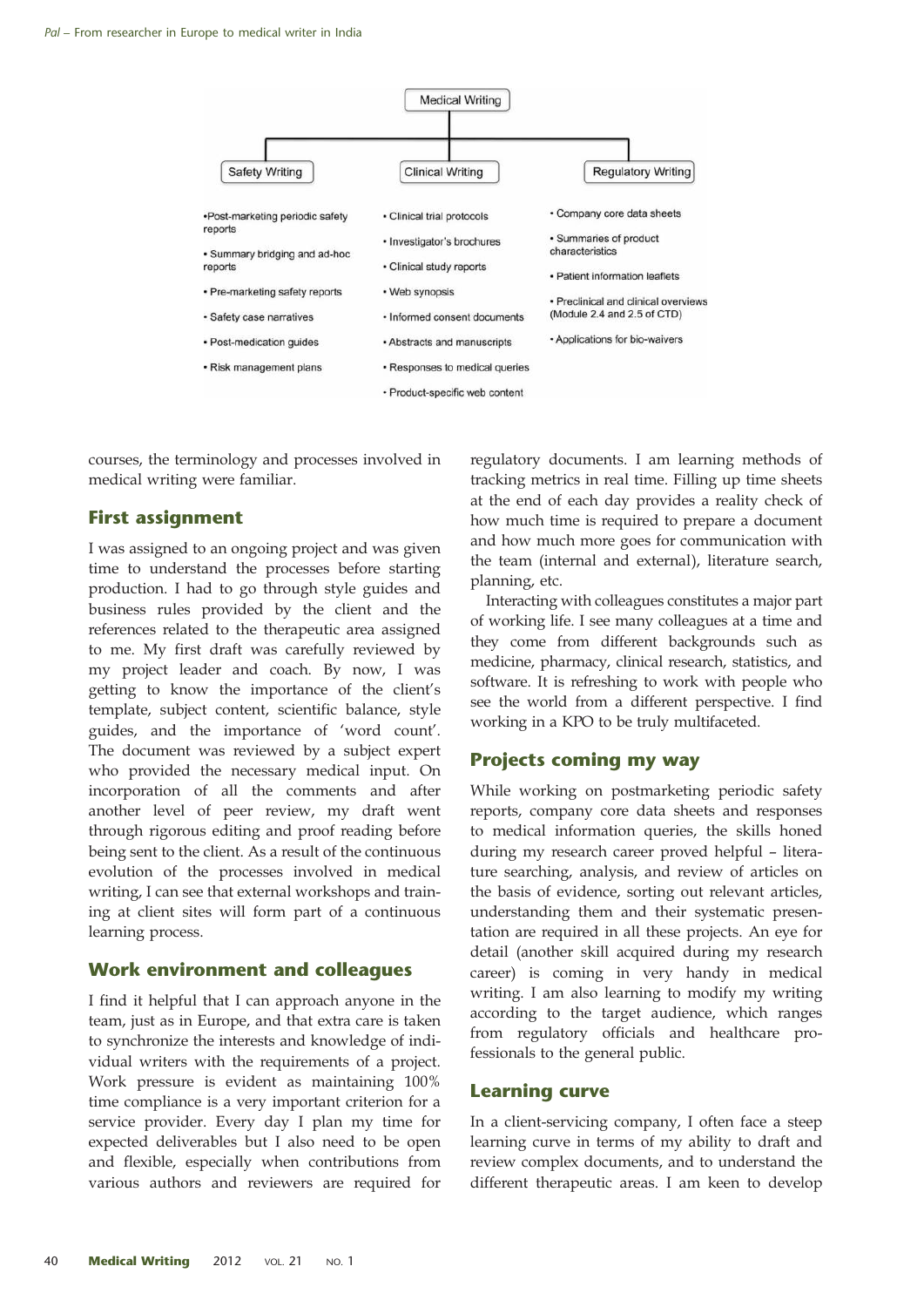

courses, the terminology and processes involved in medical writing were familiar.

## First assignment

I was assigned to an ongoing project and was given time to understand the processes before starting production. I had to go through style guides and business rules provided by the client and the references related to the therapeutic area assigned to me. My first draft was carefully reviewed by my project leader and coach. By now, I was getting to know the importance of the client's template, subject content, scientific balance, style guides, and the importance of 'word count'. The document was reviewed by a subject expert who provided the necessary medical input. On incorporation of all the comments and after another level of peer review, my draft went through rigorous editing and proof reading before being sent to the client. As a result of the continuous evolution of the processes involved in medical writing, I can see that external workshops and training at client sites will form part of a continuous learning process.

#### Work environment and colleagues

I find it helpful that I can approach anyone in the team, just as in Europe, and that extra care is taken to synchronize the interests and knowledge of individual writers with the requirements of a project. Work pressure is evident as maintaining 100% time compliance is a very important criterion for a service provider. Every day I plan my time for expected deliverables but I also need to be open and flexible, especially when contributions from various authors and reviewers are required for

regulatory documents. I am learning methods of tracking metrics in real time. Filling up time sheets at the end of each day provides a reality check of how much time is required to prepare a document and how much more goes for communication with the team (internal and external), literature search, planning, etc.

Interacting with colleagues constitutes a major part of working life. I see many colleagues at a time and they come from different backgrounds such as medicine, pharmacy, clinical research, statistics, and software. It is refreshing to work with people who see the world from a different perspective. I find working in a KPO to be truly multifaceted.

#### Projects coming my way

While working on postmarketing periodic safety reports, company core data sheets and responses to medical information queries, the skills honed during my research career proved helpful – literature searching, analysis, and review of articles on the basis of evidence, sorting out relevant articles, understanding them and their systematic presentation are required in all these projects. An eye for detail (another skill acquired during my research career) is coming in very handy in medical writing. I am also learning to modify my writing according to the target audience, which ranges from regulatory officials and healthcare professionals to the general public.

#### Learning curve

In a client-servicing company, I often face a steep learning curve in terms of my ability to draft and review complex documents, and to understand the different therapeutic areas. I am keen to develop